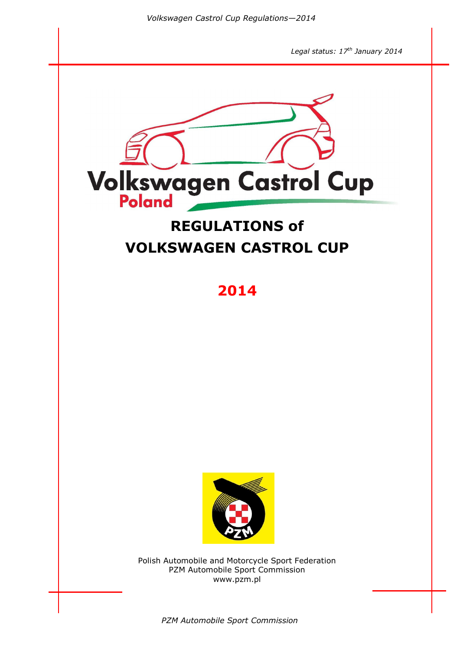

*PZM Automobile Sport Commission*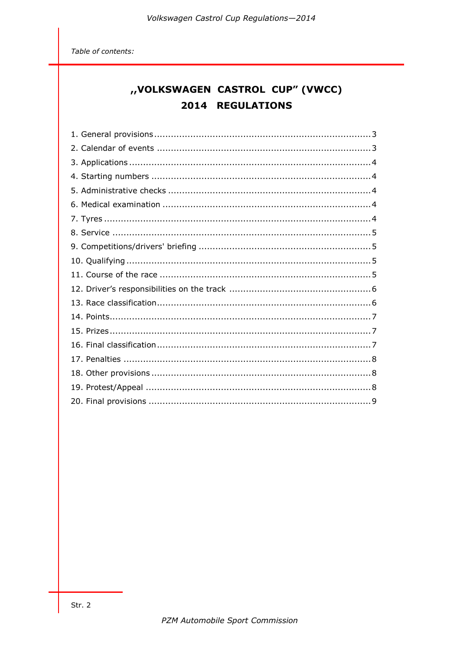Table of contents:

# "VOLKSWAGEN CASTROL CUP" (VWCC) 2014 REGULATIONS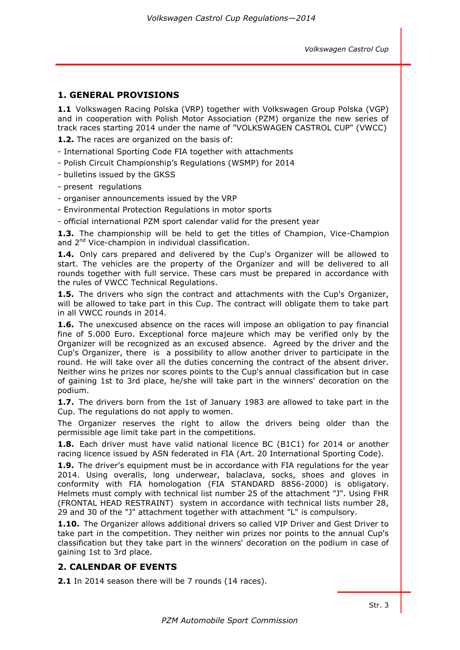## **1. GENERAL PROVISIONS**

**1.1** Volkswagen Racing Polska (VRP) together with Volkswagen Group Polska (VGP) and in cooperation with Polish Motor Association (PZM) organize the new series of track races starting 2014 under the name of "VOLKSWAGEN CASTROL CUP" (VWCC)

**1.2.** The races are organized on the basis of:

- International Sporting Code FIA together with attachments
- Polish Circuit Championship's Regulations (WSMP) for 2014
- bulletins issued by the GKSS
- present regulations
- organiser announcements issued by the VRP
- Environmental Protection Regulations in motor sports
- official international PZM sport calendar valid for the present year

**1.3.** The championship will be held to get the titles of Champion, Vice-Champion and 2<sup>nd</sup> Vice-champion in individual classification.

**1.4.** Only cars prepared and delivered by the Cup's Organizer will be allowed to start. The vehicles are the property of the Organizer and will be delivered to all rounds together with full service. These cars must be prepared in accordance with the rules of VWCC Technical Regulations.

**1.5.** The drivers who sign the contract and attachments with the Cup's Organizer, will be allowed to take part in this Cup. The contract will obligate them to take part in all VWCC rounds in 2014.

**1.6.** The unexcused absence on the races will impose an obligation to pay financial fine of 5.000 Euro. Exceptional force majeure which may be verified only by the Organizer will be recognized as an excused absence. Agreed by the driver and the Cup's Organizer, there is a possibility to allow another driver to participate in the round. He will take over all the duties concerning the contract of the absent driver. Neither wins he prizes nor scores points to the Cup's annual classification but in case of gaining 1st to 3rd place, he/she will take part in the winners' decoration on the podium.

**1.7.** The drivers born from the 1st of January 1983 are allowed to take part in the Cup. The regulations do not apply to women.

The Organizer reserves the right to allow the drivers being older than the permissible age limit take part in the competitions.

**1.8.** Each driver must have valid national licence BC (B1C1) for 2014 or another racing licence issued by ASN federated in FIA (Art. 20 International Sporting Code).

**1.9.** The driver's equipment must be in accordance with FIA regulations for the year 2014. Using overalls, long underwear, balaclava, socks, shoes and gloves in conformity with FIA homologation (FIA STANDARD 8856-2000) is obligatory. Helmets must comply with technical list number 25 of the attachment "J". Using FHR (FRONTAL HEAD RESTRAINT) system in accordance with technical lists number 28, 29 and 30 of the "J" attachment together with attachment "L" is compulsory.

**1.10.** The Organizer allows additional drivers so called VIP Driver and Gest Driver to take part in the competition. They neither win prizes nor points to the annual Cup's classification but they take part in the winners' decoration on the podium in case of gaining 1st to 3rd place.

#### **2. CALENDAR OF EVENTS**

**2.1** In 2014 season there will be 7 rounds (14 races).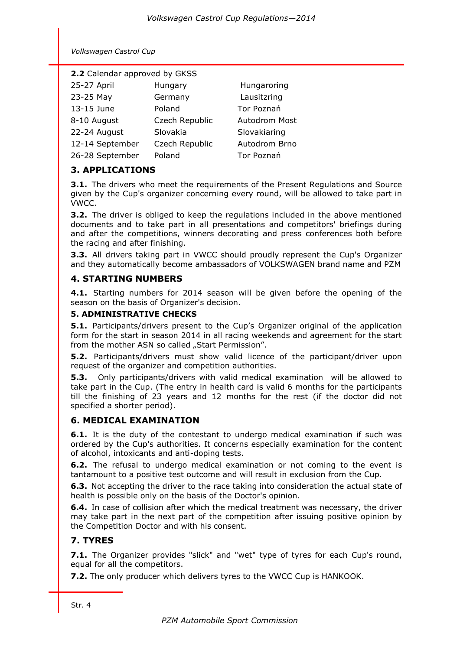| 2.2 Calendar approved by GKSS |                |                   |  |  |
|-------------------------------|----------------|-------------------|--|--|
| 25-27 April                   | Hungary        | Hungaroring       |  |  |
| 23-25 May                     | Germany        | Lausitzring       |  |  |
| 13-15 June                    | Poland         | <b>Tor Poznań</b> |  |  |
| 8-10 August                   | Czech Republic | Autodrom Most     |  |  |
| 22-24 August                  | Slovakia       | Slovakiaring      |  |  |
| 12-14 September               | Czech Republic | Autodrom Brno     |  |  |
| 26-28 September               | Poland         | Tor Poznań        |  |  |

## **3. APPLICATIONS**

**3.1.** The drivers who meet the requirements of the Present Regulations and Source given by the Cup's organizer concerning every round, will be allowed to take part in VWCC.

**3.2.** The driver is obliged to keep the regulations included in the above mentioned documents and to take part in all presentations and competitors' briefings during and after the competitions, winners decorating and press conferences both before the racing and after finishing.

**3.3.** All drivers taking part in VWCC should proudly represent the Cup's Organizer and they automatically become ambassadors of VOLKSWAGEN brand name and PZM

## **4. STARTING NUMBERS**

**4.1.** Starting numbers for 2014 season will be given before the opening of the season on the basis of Organizer's decision.

### **5. ADMINISTRATIVE CHECKS**

**5.1.** Participants/drivers present to the Cup's Organizer original of the application form for the start in season 2014 in all racing weekends and agreement for the start from the mother ASN so called ... Start Permission".

**5.2.** Participants/drivers must show valid licence of the participant/driver upon request of the organizer and competition authorities.

**5.3.** Only participants/drivers with valid medical examination will be allowed to take part in the Cup. (The entry in health card is valid 6 months for the participants till the finishing of 23 years and 12 months for the rest (if the doctor did not specified a shorter period).

## **6. MEDICAL EXAMINATION**

**6.1.** It is the duty of the contestant to undergo medical examination if such was ordered by the Cup's authorities. It concerns especially examination for the content of alcohol, intoxicants and anti-doping tests.

**6.2.** The refusal to undergo medical examination or not coming to the event is tantamount to a positive test outcome and will result in exclusion from the Cup.

**6.3.** Not accepting the driver to the race taking into consideration the actual state of health is possible only on the basis of the Doctor's opinion.

**6.4.** In case of collision after which the medical treatment was necessary, the driver may take part in the next part of the competition after issuing positive opinion by the Competition Doctor and with his consent.

# **7. TYRES**

**7.1.** The Organizer provides "slick" and "wet" type of tyres for each Cup's round, equal for all the competitors.

**7.2.** The only producer which delivers tyres to the VWCC Cup is HANKOOK.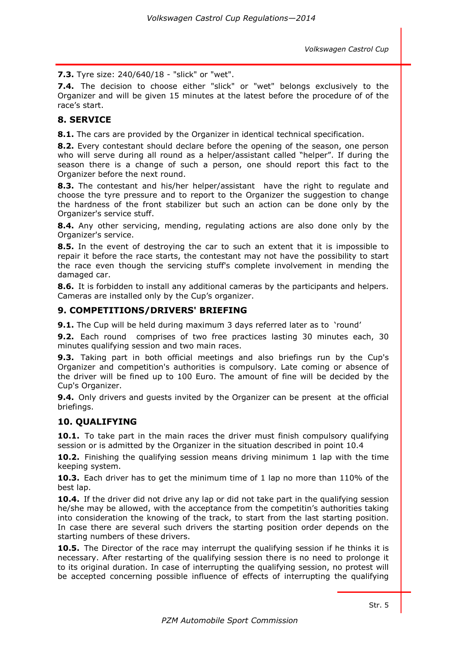**7.3.** Tyre size: 240/640/18 - "slick" or "wet".

**7.4.** The decision to choose either "slick" or "wet" belongs exclusively to the Organizer and will be given 15 minutes at the latest before the procedure of of the race's start.

## **8. SERVICE**

**8.1.** The cars are provided by the Organizer in identical technical specification.

**8.2.** Every contestant should declare before the opening of the season, one person who will serve during all round as a helper/assistant called "helper". If during the season there is a change of such a person, one should report this fact to the Organizer before the next round.

**8.3.** The contestant and his/her helper/assistant have the right to regulate and choose the tyre pressure and to report to the Organizer the suggestion to change the hardness of the front stabilizer but such an action can be done only by the Organizer's service stuff.

**8.4.** Any other servicing, mending, regulating actions are also done only by the Organizer's service.

**8.5.** In the event of destroying the car to such an extent that it is impossible to repair it before the race starts, the contestant may not have the possibility to start the race even though the servicing stuff's complete involvement in mending the damaged car.

**8.6.** It is forbidden to install any additional cameras by the participants and helpers. Cameras are installed only by the Cup's organizer.

#### **9. COMPETITIONS/DRIVERS' BRIEFING**

**9.1.** The Cup will be held during maximum 3 days referred later as to 'round'

**9.2.** Each round comprises of two free practices lasting 30 minutes each, 30 minutes qualifying session and two main races.

**9.3.** Taking part in both official meetings and also briefings run by the Cup's Organizer and competition's authorities is compulsory. Late coming or absence of the driver will be fined up to 100 Euro. The amount of fine will be decided by the Cup's Organizer.

**9.4.** Only drivers and guests invited by the Organizer can be present at the official briefings.

#### **10. QUALIFYING**

**10.1.** To take part in the main races the driver must finish compulsory qualifying session or is admitted by the Organizer in the situation described in point 10.4

**10.2.** Finishing the qualifying session means driving minimum 1 lap with the time keeping system.

**10.3.** Each driver has to get the minimum time of 1 lap no more than 110% of the best lap.

**10.4.** If the driver did not drive any lap or did not take part in the qualifying session he/she may be allowed, with the acceptance from the competitin's authorities taking into consideration the knowing of the track, to start from the last starting position. In case there are several such drivers the starting position order depends on the starting numbers of these drivers.

**10.5.** The Director of the race may interrupt the qualifying session if he thinks it is necessary. After restarting of the qualifying session there is no need to prolonge it to its original duration. In case of interrupting the qualifying session, no protest will be accepted concerning possible influence of effects of interrupting the qualifying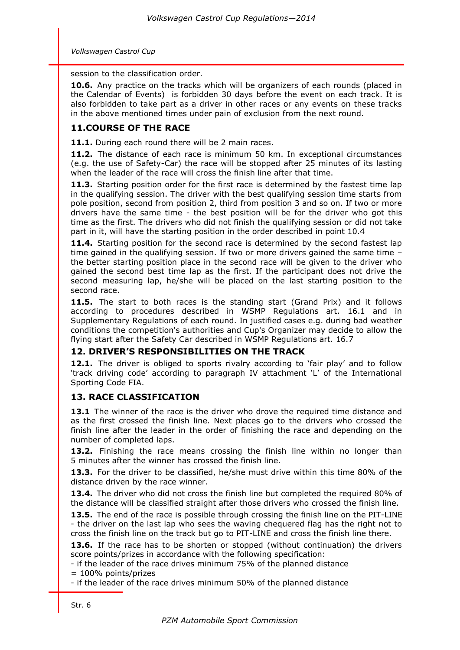session to the classification order.

**10.6.** Any practice on the tracks which will be organizers of each rounds (placed in the Calendar of Events) is forbidden 30 days before the event on each track. It is also forbidden to take part as a driver in other races or any events on these tracks in the above mentioned times under pain of exclusion from the next round.

## **11.COURSE OF THE RACE**

11.1. During each round there will be 2 main races.

**11.2.** The distance of each race is minimum 50 km. In exceptional circumstances (e.g. the use of Safety-Car) the race will be stopped after 25 minutes of its lasting when the leader of the race will cross the finish line after that time.

**11.3.** Starting position order for the first race is determined by the fastest time lap in the qualifying session. The driver with the best qualifying session time starts from pole position, second from position 2, third from position 3 and so on. If two or more drivers have the same time - the best position will be for the driver who got this time as the first. The drivers who did not finish the qualifying session or did not take part in it, will have the starting position in the order described in point 10.4

**11.4.** Starting position for the second race is determined by the second fastest lap time gained in the qualifying session. If two or more drivers gained the same time – the better starting position place in the second race will be given to the driver who gained the second best time lap as the first. If the participant does not drive the second measuring lap, he/she will be placed on the last starting position to the second race.

11.5. The start to both races is the standing start (Grand Prix) and it follows according to procedures described in WSMP Regulations art. 16.1 and in Supplementary Regulations of each round. In justified cases e.g. during bad weather conditions the competition's authorities and Cup's Organizer may decide to allow the flying start after the Safety Car described in WSMP Regulations art. 16.7

#### **12. DRIVER'S RESPONSIBILITIES ON THE TRACK**

**12.1.** The driver is obliged to sports rivalry according to 'fair play' and to follow 'track driving code' according to paragraph IV attachment 'L' of the International Sporting Code FIA.

## **13. RACE CLASSIFICATION**

**13.1** The winner of the race is the driver who drove the required time distance and as the first crossed the finish line. Next places go to the drivers who crossed the finish line after the leader in the order of finishing the race and depending on the number of completed laps.

**13.2.** Finishing the race means crossing the finish line within no longer than 5 minutes after the winner has crossed the finish line.

**13.3.** For the driver to be classified, he/she must drive within this time 80% of the distance driven by the race winner.

13.4. The driver who did not cross the finish line but completed the required 80% of the distance will be classified straight after those drivers who crossed the finish line.

**13.5.** The end of the race is possible through crossing the finish line on the PIT-LINE - the driver on the last lap who sees the waving chequered flag has the right not to cross the finish line on the track but go to PIT-LINE and cross the finish line there.

**13.6.** If the race has to be shorten or stopped (without continuation) the drivers score points/prizes in accordance with the following specification:

- if the leader of the race drives minimum 75% of the planned distance = 100% points/prizes

- if the leader of the race drives minimum 50% of the planned distance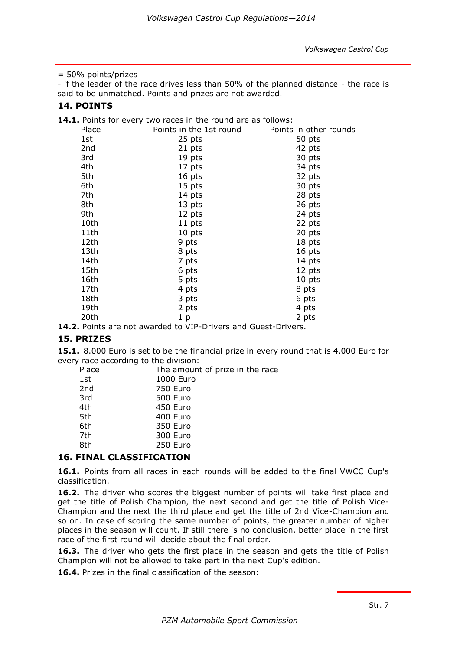#### = 50% points/prizes

- if the leader of the race drives less than 50% of the planned distance - the race is said to be unmatched. Points and prizes are not awarded.

#### **14. POINTS**

**14.1.** Points for every two races in the round are as follows:

| Place | Points in the 1st round | Points in other rounds |
|-------|-------------------------|------------------------|
| 1st   | 25 pts                  | 50 pts                 |
| 2nd   | 21 pts                  | 42 pts                 |
| 3rd   | 19 pts                  | 30 pts                 |
| 4th   | 17 pts                  | 34 pts                 |
| 5th   | 16 pts                  | 32 pts                 |
| 6th   | 15 pts                  | 30 pts                 |
| 7th   | 14 pts                  | 28 pts                 |
| 8th   | 13 pts                  | 26 pts                 |
| 9th   | 12 pts                  | 24 pts                 |
| 10th  | 11 pts                  | 22 pts                 |
| 11th  | 10 pts                  | 20 pts                 |
| 12th  | 9 pts                   | 18 pts                 |
| 13th  | 8 pts                   | 16 pts                 |
| 14th  | 7 pts                   | 14 pts                 |
| 15th  | 6 pts                   | 12 pts                 |
| 16th  | 5 pts                   | 10 pts                 |
| 17th  | 4 pts                   | 8 pts                  |
| 18th  | 3 pts                   | 6 pts                  |
| 19th  | 2 pts                   | 4 pts                  |
| 20th  | 1 <sub>p</sub>          | 2 pts                  |

**14.2.** Points are not awarded to VIP-Drivers and Guest-Drivers.

### **15. PRIZES**

**15.1.** 8.000 Euro is set to be the financial prize in every round that is 4.000 Euro for every race according to the division:

| Place | The amount of prize in the race |
|-------|---------------------------------|
| 1st   | 1000 Euro                       |
| 2nd   | 750 Euro                        |
| 3rd   | 500 Euro                        |
| 4th   | 450 Euro                        |
| 5th   | 400 Euro                        |
| 6th   | 350 Euro                        |
| 7th   | 300 Euro                        |
| 8th   | 250 Euro                        |
|       |                                 |

## **16. FINAL CLASSIFICATION**

**16.1.** Points from all races in each rounds will be added to the final VWCC Cup's classification.

**16.2.** The driver who scores the biggest number of points will take first place and get the title of Polish Champion, the next second and get the title of Polish Vice-Champion and the next the third place and get the title of 2nd Vice-Champion and so on. In case of scoring the same number of points, the greater number of higher places in the season will count. If still there is no conclusion, better place in the first race of the first round will decide about the final order.

16.3. The driver who gets the first place in the season and gets the title of Polish Champion will not be allowed to take part in the next Cup's edition.

**16.4.** Prizes in the final classification of the season: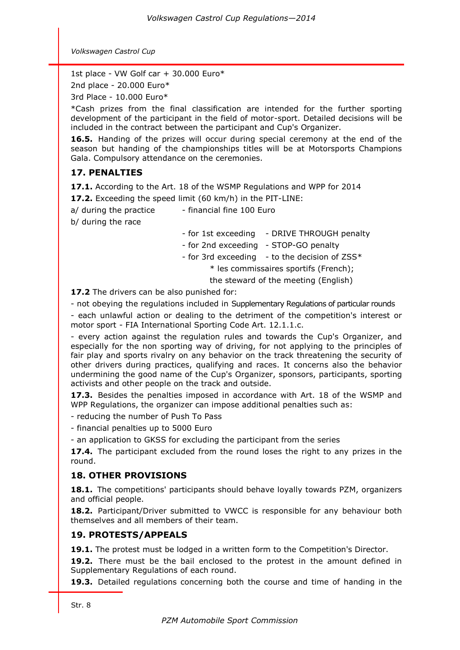1st place - VW Golf car + 30.000 Euro\*

2nd place - 20.000 Euro\*

3rd Place - 10.000 Euro\*

\*Cash prizes from the final classification are intended for the further sporting development of the participant in the field of motor-sport. Detailed decisions will be included in the contract between the participant and Cup's Organizer.

**16.5.** Handing of the prizes will occur during special ceremony at the end of the season but handing of the championships titles will be at Motorsports Champions Gala. Compulsory attendance on the ceremonies.

# **17. PENALTIES**

**17.1.** According to the Art. 18 of the WSMP Regulations and WPP for 2014

**17.2.** Exceeding the speed limit (60 km/h) in the PIT-LINE:

 $a/d$ uring the practice  $\qquad$  - financial fine 100 Euro

b/ during the race

- for 1st exceeding - DRIVE THROUGH penalty

- for 2nd exceeding - STOP-GO penalty

- for 3rd exceeding  $-$  to the decision of ZSS $*$ 

\* les commissaires sportifs (French);

the steward of the meeting (English)

**17.2** The drivers can be also punished for:

- not obeying the regulations included in Supplementary Regulations of particular rounds

- each unlawful action or dealing to the detriment of the competition's interest or motor sport - FIA International Sporting Code Art. 12.1.1.c.

- every action against the regulation rules and towards the Cup's Organizer, and especially for the non sporting way of driving, for not applying to the principles of fair play and sports rivalry on any behavior on the track threatening the security of other drivers during practices, qualifying and races. It concerns also the behavior undermining the good name of the Cup's Organizer, sponsors, participants, sporting activists and other people on the track and outside.

**17.3.** Besides the penalties imposed in accordance with Art. 18 of the WSMP and WPP Regulations, the organizer can impose additional penalties such as:

- reducing the number of Push To Pass

- financial penalties up to 5000 Euro

- an application to GKSS for excluding the participant from the series

**17.4.** The participant excluded from the round loses the right to any prizes in the round.

# **18. OTHER PROVISIONS**

**18.1.** The competitions' participants should behave loyally towards PZM, organizers and official people.

**18.2.** Participant/Driver submitted to VWCC is responsible for any behaviour both themselves and all members of their team.

# **19. PROTESTS/APPEALS**

**19.1.** The protest must be lodged in a written form to the Competition's Director.

**19.2.** There must be the bail enclosed to the protest in the amount defined in Supplementary Regulations of each round.

**19.3.** Detailed regulations concerning both the course and time of handing in the